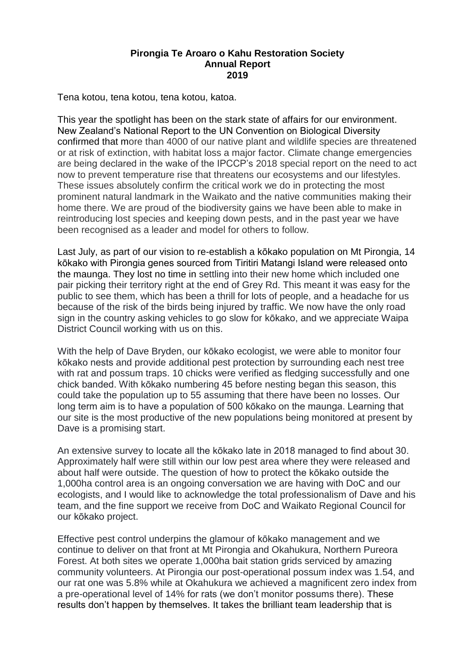## **Pirongia Te Aroaro o Kahu Restoration Society Annual Report 2019**

Tena kotou, tena kotou, tena kotou, katoa.

This year the spotlight has been on the stark state of affairs for our environment. New Zealand's National Report to the UN Convention on Biological Diversity confirmed that more than 4000 of our native plant and wildlife species are threatened or at risk of extinction, with habitat loss a major factor. Climate change emergencies are being declared in the wake of the IPCCP's 2018 special report on the need to act now to prevent temperature rise that threatens our ecosystems and our lifestyles. These issues absolutely confirm the critical work we do in protecting the most prominent natural landmark in the Waikato and the native communities making their home there. We are proud of the biodiversity gains we have been able to make in reintroducing lost species and keeping down pests, and in the past year we have been recognised as a leader and model for others to follow.

Last July, as part of our vision to re-establish a kōkako population on Mt Pirongia, 14 kōkako with Pirongia genes sourced from Tiritiri Matangi Island were released onto the maunga. They lost no time in settling into their new home which included one pair picking their territory right at the end of Grey Rd. This meant it was easy for the public to see them, which has been a thrill for lots of people, and a headache for us because of the risk of the birds being injured by traffic. We now have the only road sign in the country asking vehicles to go slow for kōkako, and we appreciate Waipa District Council working with us on this.

With the help of Dave Bryden, our kōkako ecologist, we were able to monitor four kōkako nests and provide additional pest protection by surrounding each nest tree with rat and possum traps. 10 chicks were verified as fledging successfully and one chick banded. With kōkako numbering 45 before nesting began this season, this could take the population up to 55 assuming that there have been no losses. Our long term aim is to have a population of 500 kōkako on the maunga. Learning that our site is the most productive of the new populations being monitored at present by Dave is a promising start.

An extensive survey to locate all the kōkako late in 2018 managed to find about 30. Approximately half were still within our low pest area where they were released and about half were outside. The question of how to protect the kōkako outside the 1,000ha control area is an ongoing conversation we are having with DoC and our ecologists, and I would like to acknowledge the total professionalism of Dave and his team, and the fine support we receive from DoC and Waikato Regional Council for our kōkako project.

Effective pest control underpins the glamour of kōkako management and we continue to deliver on that front at Mt Pirongia and Okahukura, Northern Pureora Forest. At both sites we operate 1,000ha bait station grids serviced by amazing community volunteers. At Pirongia our post-operational possum index was 1.54, and our rat one was 5.8% while at Okahukura we achieved a magnificent zero index from a pre-operational level of 14% for rats (we don't monitor possums there). These results don't happen by themselves. It takes the brilliant team leadership that is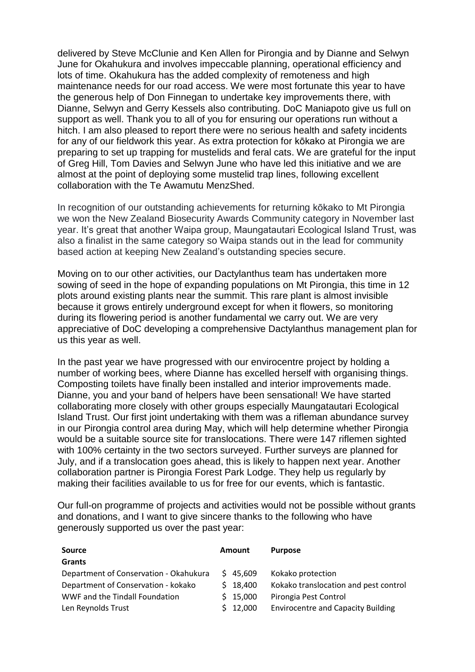delivered by Steve McClunie and Ken Allen for Pirongia and by Dianne and Selwyn June for Okahukura and involves impeccable planning, operational efficiency and lots of time. Okahukura has the added complexity of remoteness and high maintenance needs for our road access. We were most fortunate this year to have the generous help of Don Finnegan to undertake key improvements there, with Dianne, Selwyn and Gerry Kessels also contributing. DoC Maniapoto give us full on support as well. Thank you to all of you for ensuring our operations run without a hitch. I am also pleased to report there were no serious health and safety incidents for any of our fieldwork this year. As extra protection for kōkako at Pirongia we are preparing to set up trapping for mustelids and feral cats. We are grateful for the input of Greg Hill, Tom Davies and Selwyn June who have led this initiative and we are almost at the point of deploying some mustelid trap lines, following excellent collaboration with the Te Awamutu MenzShed.

In recognition of our outstanding achievements for returning kōkako to Mt Pirongia we won the New Zealand Biosecurity Awards Community category in November last year. It's great that another Waipa group, Maungatautari Ecological Island Trust, was also a finalist in the same category so Waipa stands out in the lead for community based action at keeping New Zealand's outstanding species secure.

Moving on to our other activities, our Dactylanthus team has undertaken more sowing of seed in the hope of expanding populations on Mt Pirongia, this time in 12 plots around existing plants near the summit. This rare plant is almost invisible because it grows entirely underground except for when it flowers, so monitoring during its flowering period is another fundamental we carry out. We are very appreciative of DoC developing a comprehensive Dactylanthus management plan for us this year as well.

In the past year we have progressed with our envirocentre project by holding a number of working bees, where Dianne has excelled herself with organising things. Composting toilets have finally been installed and interior improvements made. Dianne, you and your band of helpers have been sensational! We have started collaborating more closely with other groups especially Maungatautari Ecological Island Trust. Our first joint undertaking with them was a rifleman abundance survey in our Pirongia control area during May, which will help determine whether Pirongia would be a suitable source site for translocations. There were 147 riflemen sighted with 100% certainty in the two sectors surveyed. Further surveys are planned for July, and if a translocation goes ahead, this is likely to happen next year. Another collaboration partner is Pirongia Forest Park Lodge. They help us regularly by making their facilities available to us for free for our events, which is fantastic.

Our full-on programme of projects and activities would not be possible without grants and donations, and I want to give sincere thanks to the following who have generously supported us over the past year:

| <b>Source</b>                          | <b>Amount</b> |          | <b>Purpose</b>                            |
|----------------------------------------|---------------|----------|-------------------------------------------|
| <b>Grants</b>                          |               |          |                                           |
| Department of Conservation - Okahukura |               | 545.609  | Kokako protection                         |
| Department of Conservation - kokako    |               | \$18,400 | Kokako translocation and pest control     |
| WWF and the Tindall Foundation         |               | \$15,000 | Pirongia Pest Control                     |
| Len Reynolds Trust                     |               | \$12,000 | <b>Envirocentre and Capacity Building</b> |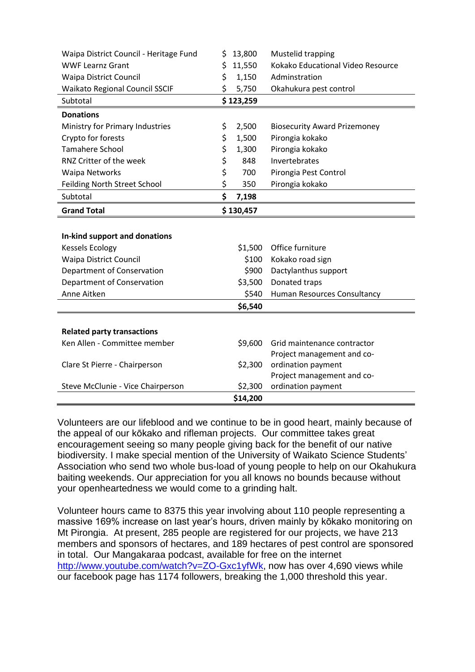| Waipa District Council - Heritage Fund | \$<br>13,800 | Mustelid trapping                   |
|----------------------------------------|--------------|-------------------------------------|
| <b>WWF Learnz Grant</b>                | \$<br>11,550 | Kokako Educational Video Resource   |
| <b>Waipa District Council</b>          | \$<br>1,150  | Adminstration                       |
| <b>Waikato Regional Council SSCIF</b>  | \$<br>5,750  | Okahukura pest control              |
| Subtotal                               | \$123,259    |                                     |
| <b>Donations</b>                       |              |                                     |
| Ministry for Primary Industries        | \$<br>2,500  | <b>Biosecurity Award Prizemoney</b> |
| Crypto for forests                     | \$<br>1,500  | Pirongia kokako                     |
| <b>Tamahere School</b>                 | \$<br>1,300  | Pirongia kokako                     |
| RNZ Critter of the week                | \$<br>848    | Invertebrates                       |
| <b>Waipa Networks</b>                  | \$<br>700    | Pirongia Pest Control               |
| Feilding North Street School           | \$<br>350    | Pirongia kokako                     |
| Subtotal                               | \$<br>7,198  |                                     |
| <b>Grand Total</b>                     | \$130,457    |                                     |
|                                        |              |                                     |
| In-kind support and donations          |              |                                     |
| <b>Kessels Ecology</b>                 | \$1,500      | Office furniture                    |
| <b>Waipa District Council</b>          | \$100        | Kokako road sign                    |
| Department of Conservation             | \$900        | Dactylanthus support                |
| Department of Conservation             | \$3,500      | Donated traps                       |
| Anne Aitken                            | \$540        | Human Resources Consultancy         |
|                                        | \$6,540      |                                     |
|                                        |              |                                     |
| <b>Related party transactions</b>      |              |                                     |
| Ken Allen - Committee member           | \$9,600      | Grid maintenance contractor         |
|                                        |              | Project management and co-          |
| Clare St Pierre - Chairperson          | \$2,300      | ordination payment                  |
|                                        |              | Project management and co-          |
| Steve McClunie - Vice Chairperson      | \$2,300      | ordination payment                  |
|                                        | \$14,200     |                                     |

Volunteers are our lifeblood and we continue to be in good heart, mainly because of the appeal of our kōkako and rifleman projects. Our committee takes great encouragement seeing so many people giving back for the benefit of our native biodiversity. I make special mention of the University of Waikato Science Students' Association who send two whole bus-load of young people to help on our Okahukura baiting weekends. Our appreciation for you all knows no bounds because without your openheartedness we would come to a grinding halt.

Volunteer hours came to 8375 this year involving about 110 people representing a massive 169% increase on last year's hours, driven mainly by kōkako monitoring on Mt Pirongia. At present, 285 people are registered for our projects, we have 213 members and sponsors of hectares, and 189 hectares of pest control are sponsored in total. Our Mangakaraa podcast, available for free on the internet [http://www.youtube.com/watch?v=ZO-Gxc1yfWk,](http://www.youtube.com/watch?v=ZO-Gxc1yfWk) now has over 4,690 views while our facebook page has 1174 followers, breaking the 1,000 threshold this year.